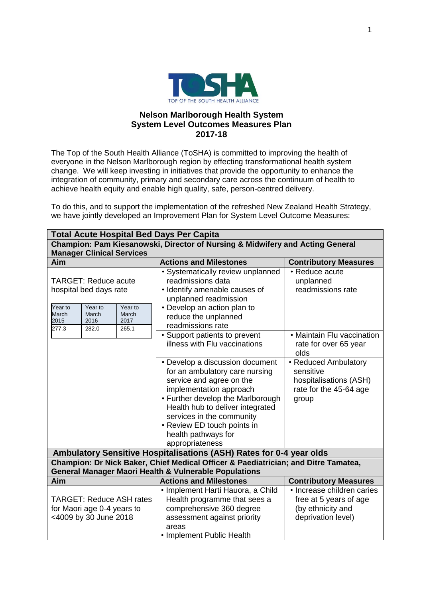

## **Nelson Marlborough Health System System Level Outcomes Measures Plan 2017-18**

The Top of the South Health Alliance (ToSHA) is committed to improving the health of everyone in the Nelson Marlborough region by effecting transformational health system change. We will keep investing in initiatives that provide the opportunity to enhance the integration of community, primary and secondary care across the continuum of health to achieve health equity and enable high quality, safe, person-centred delivery.

To do this, and to support the implementation of the refreshed New Zealand Health Strategy, we have jointly developed an Improvement Plan for System Level Outcome Measures:

| <b>Total Acute Hospital Bed Days Per Capita</b>                                                                                                                      |                                                                                                                                                                                                                                                                                                         |                                                                                                 |  |  |  |
|----------------------------------------------------------------------------------------------------------------------------------------------------------------------|---------------------------------------------------------------------------------------------------------------------------------------------------------------------------------------------------------------------------------------------------------------------------------------------------------|-------------------------------------------------------------------------------------------------|--|--|--|
| Champion: Pam Kiesanowski, Director of Nursing & Midwifery and Acting General<br><b>Manager Clinical Services</b>                                                    |                                                                                                                                                                                                                                                                                                         |                                                                                                 |  |  |  |
| Aim                                                                                                                                                                  | <b>Actions and Milestones</b>                                                                                                                                                                                                                                                                           | <b>Contributory Measures</b>                                                                    |  |  |  |
| <b>TARGET: Reduce acute</b><br>hospital bed days rate<br>Year to<br>Year to<br>Year to<br>March<br>March<br>March<br>2015<br>2016<br>2017<br>277.3<br>282.0<br>265.1 | • Systematically review unplanned<br>readmissions data<br>• Identify amenable causes of<br>unplanned readmission<br>• Develop an action plan to<br>reduce the unplanned<br>readmissions rate                                                                                                            | • Reduce acute<br>unplanned<br>readmissions rate                                                |  |  |  |
|                                                                                                                                                                      | • Support patients to prevent<br>illness with Flu vaccinations                                                                                                                                                                                                                                          | • Maintain Flu vaccination<br>rate for over 65 year<br>olds                                     |  |  |  |
|                                                                                                                                                                      | • Develop a discussion document<br>for an ambulatory care nursing<br>service and agree on the<br>implementation approach<br>• Further develop the Marlborough<br>Health hub to deliver integrated<br>services in the community<br>• Review ED touch points in<br>health pathways for<br>appropriateness | • Reduced Ambulatory<br>sensitive<br>hospitalisations (ASH)<br>rate for the 45-64 age<br>group  |  |  |  |
| Ambulatory Sensitive Hospitalisations (ASH) Rates for 0-4 year olds                                                                                                  |                                                                                                                                                                                                                                                                                                         |                                                                                                 |  |  |  |
| Champion: Dr Nick Baker, Chief Medical Officer & Paediatrician; and Ditre Tamatea,<br><b>General Manager Maori Health &amp; Vulnerable Populations</b>               |                                                                                                                                                                                                                                                                                                         |                                                                                                 |  |  |  |
| Aim                                                                                                                                                                  | <b>Actions and Milestones</b>                                                                                                                                                                                                                                                                           | <b>Contributory Measures</b>                                                                    |  |  |  |
| <b>TARGET: Reduce ASH rates</b><br>for Maori age 0-4 years to<br><4009 by 30 June 2018                                                                               | • Implement Harti Hauora, a Child<br>Health programme that sees a<br>comprehensive 360 degree<br>assessment against priority<br>areas<br>• Implement Public Health                                                                                                                                      | • Increase children caries<br>free at 5 years of age<br>(by ethnicity and<br>deprivation level) |  |  |  |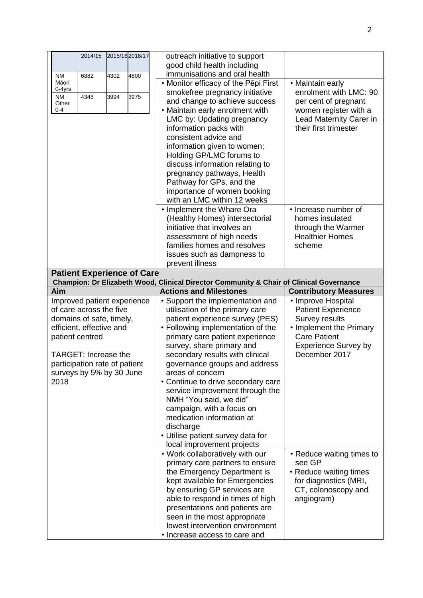| 2015/16 2016/17<br>2014/15        | outreach initiative to support<br>good child health including                                                            |                                                  |
|-----------------------------------|--------------------------------------------------------------------------------------------------------------------------|--------------------------------------------------|
| 4800<br>4302<br>NM<br>6882        | immunisations and oral health                                                                                            |                                                  |
| Māori                             | • Monitor efficacy of the Pēpi First                                                                                     | • Maintain early                                 |
| 0-4yrs                            | smokefree pregnancy initiative                                                                                           | enrolment with LMC: 90                           |
| 3975<br>4348<br>3994<br>ΝM        | and change to achieve success                                                                                            | per cent of pregnant                             |
| Other<br>$0 - 4$                  | • Maintain early enrolment with                                                                                          | women register with a                            |
|                                   |                                                                                                                          |                                                  |
|                                   | LMC by: Updating pregnancy                                                                                               | Lead Maternity Carer in<br>their first trimester |
|                                   | information packs with                                                                                                   |                                                  |
|                                   | consistent advice and                                                                                                    |                                                  |
|                                   | information given to women;                                                                                              |                                                  |
|                                   | Holding GP/LMC forums to                                                                                                 |                                                  |
|                                   | discuss information relating to                                                                                          |                                                  |
|                                   | pregnancy pathways, Health                                                                                               |                                                  |
|                                   | Pathway for GPs, and the                                                                                                 |                                                  |
|                                   | importance of women booking                                                                                              |                                                  |
|                                   | with an LMC within 12 weeks                                                                                              |                                                  |
|                                   | • Implement the Whare Ora                                                                                                | • Increase number of                             |
|                                   | (Healthy Homes) intersectorial                                                                                           | homes insulated                                  |
|                                   | initiative that involves an                                                                                              | through the Warmer                               |
|                                   | assessment of high needs                                                                                                 | <b>Healthier Homes</b>                           |
|                                   | families homes and resolves                                                                                              | scheme                                           |
|                                   | issues such as dampness to                                                                                               |                                                  |
|                                   | prevent illness                                                                                                          |                                                  |
| <b>Patient Experience of Care</b> |                                                                                                                          |                                                  |
| Aim                               | Champion: Dr Elizabeth Wood, Clinical Director Community & Chair of Clinical Governance<br><b>Actions and Milestones</b> |                                                  |
|                                   |                                                                                                                          | <b>Contributory Measures</b>                     |
|                                   |                                                                                                                          |                                                  |
| Improved patient experience       | • Support the implementation and                                                                                         | • Improve Hospital                               |
| of care across the five           | utilisation of the primary care                                                                                          | <b>Patient Experience</b>                        |
| domains of safe, timely,          | patient experience survey (PES)                                                                                          | <b>Survey results</b>                            |
| efficient, effective and          | • Following implementation of the                                                                                        | • Implement the Primary                          |
| patient centred                   | primary care patient experience                                                                                          | <b>Care Patient</b>                              |
|                                   | survey, share primary and                                                                                                | <b>Experience Survey by</b>                      |
| <b>TARGET: Increase the</b>       | secondary results with clinical                                                                                          | December 2017                                    |
| participation rate of patient     | governance groups and address                                                                                            |                                                  |
| surveys by 5% by 30 June          | areas of concern                                                                                                         |                                                  |
| 2018                              | • Continue to drive secondary care                                                                                       |                                                  |
|                                   | service improvement through the                                                                                          |                                                  |
|                                   | NMH "You said, we did"                                                                                                   |                                                  |
|                                   | campaign, with a focus on                                                                                                |                                                  |
|                                   | medication information at                                                                                                |                                                  |
|                                   | discharge                                                                                                                |                                                  |
|                                   | • Utilise patient survey data for                                                                                        |                                                  |
|                                   | local improvement projects                                                                                               |                                                  |
|                                   | . Work collaboratively with our                                                                                          | • Reduce waiting times to                        |
|                                   | primary care partners to ensure                                                                                          | see GP                                           |
|                                   | the Emergency Department is                                                                                              | • Reduce waiting times                           |
|                                   | kept available for Emergencies                                                                                           | for diagnostics (MRI,                            |
|                                   | by ensuring GP services are                                                                                              | CT, colonoscopy and                              |
|                                   | able to respond in times of high                                                                                         | angiogram)                                       |
|                                   | presentations and patients are                                                                                           |                                                  |
|                                   | seen in the most appropriate                                                                                             |                                                  |
|                                   | lowest intervention environment<br>• Increase access to care and                                                         |                                                  |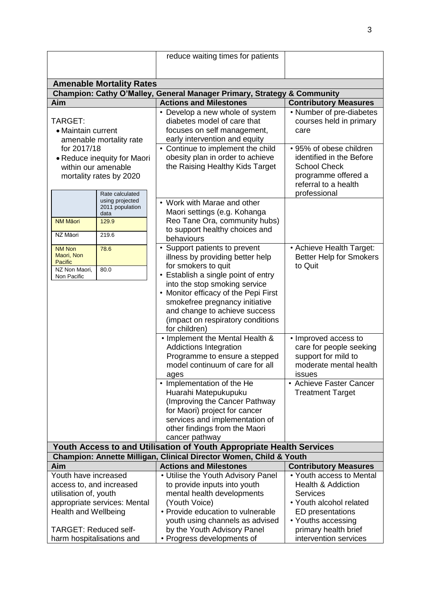|                                                                    |                         | reduce waiting times for patients                                       |                                 |  |  |  |
|--------------------------------------------------------------------|-------------------------|-------------------------------------------------------------------------|---------------------------------|--|--|--|
|                                                                    |                         |                                                                         |                                 |  |  |  |
|                                                                    |                         |                                                                         |                                 |  |  |  |
| <b>Amenable Mortality Rates</b>                                    |                         |                                                                         |                                 |  |  |  |
|                                                                    |                         | Champion: Cathy O'Malley, General Manager Primary, Strategy & Community |                                 |  |  |  |
| Aim                                                                |                         | <b>Actions and Milestones</b>                                           | <b>Contributory Measures</b>    |  |  |  |
|                                                                    |                         | • Develop a new whole of system<br>diabetes model of care that          | • Number of pre-diabetes        |  |  |  |
| TARGET:                                                            |                         | focuses on self management,                                             | courses held in primary<br>care |  |  |  |
| • Maintain current                                                 |                         | early intervention and equity                                           |                                 |  |  |  |
| amenable mortality rate                                            |                         | • Continue to implement the child                                       | • 95% of obese children         |  |  |  |
| for 2017/18                                                        |                         | obesity plan in order to achieve                                        | identified in the Before        |  |  |  |
| • Reduce inequity for Maori<br>within our amenable                 |                         | the Raising Healthy Kids Target                                         | <b>School Check</b>             |  |  |  |
|                                                                    | mortality rates by 2020 |                                                                         | programme offered a             |  |  |  |
|                                                                    |                         |                                                                         | referral to a health            |  |  |  |
|                                                                    | Rate calculated         |                                                                         | professional                    |  |  |  |
|                                                                    | using projected         | • Work with Marae and other                                             |                                 |  |  |  |
|                                                                    | 2011 population<br>data | Maori settings (e.g. Kohanga                                            |                                 |  |  |  |
| <b>NM Māori</b>                                                    | 129.9                   | Reo Tane Ora, community hubs)                                           |                                 |  |  |  |
| NZ Māori                                                           | 219.6                   | to support healthy choices and                                          |                                 |  |  |  |
|                                                                    |                         | behaviours                                                              |                                 |  |  |  |
| <b>NM Non</b><br>Maori, Non                                        | 78.6                    | • Support patients to prevent                                           | • Achieve Health Target:        |  |  |  |
| Pacific                                                            |                         | illness by providing better help                                        | <b>Better Help for Smokers</b>  |  |  |  |
| NZ Non Maori.                                                      | 80.0                    | for smokers to quit                                                     | to Quit                         |  |  |  |
| Non Pacific                                                        |                         | • Establish a single point of entry<br>into the stop smoking service    |                                 |  |  |  |
|                                                                    |                         | • Monitor efficacy of the Pepi First                                    |                                 |  |  |  |
|                                                                    |                         | smokefree pregnancy initiative                                          |                                 |  |  |  |
|                                                                    |                         | and change to achieve success                                           |                                 |  |  |  |
|                                                                    |                         | (impact on respiratory conditions                                       |                                 |  |  |  |
|                                                                    |                         | for children)                                                           |                                 |  |  |  |
|                                                                    |                         | • Implement the Mental Health &                                         | • Improved access to            |  |  |  |
|                                                                    |                         | <b>Addictions Integration</b>                                           | care for people seeking         |  |  |  |
|                                                                    |                         | Programme to ensure a stepped                                           | support for mild to             |  |  |  |
|                                                                    |                         | model continuum of care for all                                         | moderate mental health          |  |  |  |
|                                                                    |                         | ages                                                                    | issues                          |  |  |  |
|                                                                    |                         | • Implementation of the He                                              | • Achieve Faster Cancer         |  |  |  |
|                                                                    |                         | Huarahi Matepukupuku                                                    | <b>Treatment Target</b>         |  |  |  |
|                                                                    |                         | (Improving the Cancer Pathway<br>for Maori) project for cancer          |                                 |  |  |  |
|                                                                    |                         | services and implementation of                                          |                                 |  |  |  |
|                                                                    |                         | other findings from the Maori                                           |                                 |  |  |  |
|                                                                    |                         | cancer pathway                                                          |                                 |  |  |  |
|                                                                    |                         | Youth Access to and Utilisation of Youth Appropriate Health Services    |                                 |  |  |  |
| Champion: Annette Milligan, Clinical Director Women, Child & Youth |                         |                                                                         |                                 |  |  |  |
| Aim                                                                |                         | <b>Actions and Milestones</b>                                           | <b>Contributory Measures</b>    |  |  |  |
| Youth have increased                                               |                         | • Utilise the Youth Advisory Panel                                      | • Youth access to Mental        |  |  |  |
| access to, and increased                                           |                         | to provide inputs into youth                                            | <b>Health &amp; Addiction</b>   |  |  |  |
| utilisation of, youth                                              |                         | mental health developments                                              | <b>Services</b>                 |  |  |  |
| appropriate services: Mental                                       |                         | (Youth Voice)                                                           | • Youth alcohol related         |  |  |  |
| <b>Health and Wellbeing</b>                                        |                         | • Provide education to vulnerable                                       | ED presentations                |  |  |  |
|                                                                    |                         | youth using channels as advised                                         | • Youths accessing              |  |  |  |
| <b>TARGET: Reduced self-</b>                                       |                         | by the Youth Advisory Panel                                             | primary health brief            |  |  |  |
| harm hospitalisations and                                          |                         | • Progress developments of                                              | intervention services           |  |  |  |